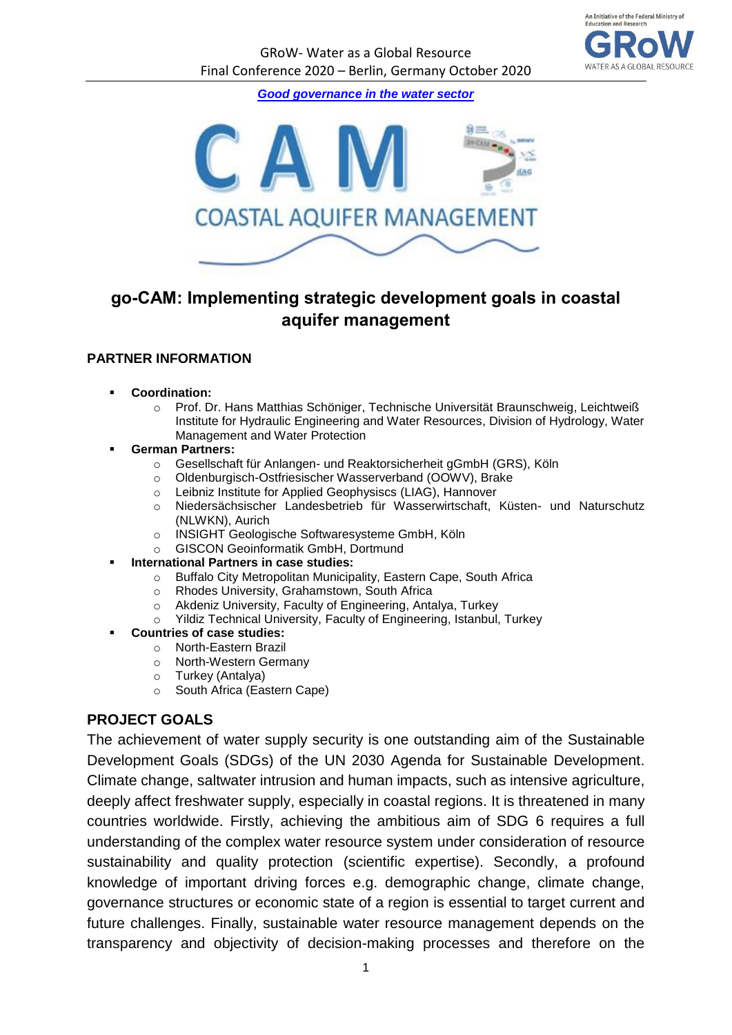

*[Good governance in the water sector](https://bmbf-grow.de/en/node/130)*



# **go-CAM: Implementing strategic development goals in coastal aquifer management**

#### **PARTNER INFORMATION**

- **Coordination:** 
	- o Prof. Dr. Hans Matthias Schöniger, Technische Universität Braunschweig, Leichtweiß Institute for Hydraulic Engineering and Water Resources, Division of Hydrology, Water Management and Water Protection
- **German Partners:**
	- o Gesellschaft für Anlangen- und Reaktorsicherheit gGmbH (GRS), Köln
	- o Oldenburgisch-Ostfriesischer Wasserverband (OOWV), Brake
	- o Leibniz Institute for Applied Geophysiscs (LIAG), Hannover
	- o Niedersächsischer Landesbetrieb für Wasserwirtschaft, Küsten- und Naturschutz (NLWKN), Aurich
	- o INSIGHT Geologische Softwaresysteme GmbH, Köln
	- o GISCON Geoinformatik GmbH, Dortmund
- **International Partners in case studies:** 
	- o Buffalo City Metropolitan Municipality, Eastern Cape, South Africa
	- o Rhodes University, Grahamstown, South Africa
	- o Akdeniz University, Faculty of Engineering, Antalya, Turkey
	- o Yildiz Technical University, Faculty of Engineering, Istanbul, Turkey
- **Countries of case studies:**
	- o North-Eastern Brazil
	- o North-Western Germany
	- o Turkey (Antalya)
	- o South Africa (Eastern Cape)

#### **PROJECT GOALS**

The achievement of water supply security is one outstanding aim of the Sustainable Development Goals (SDGs) of the UN 2030 Agenda for Sustainable Development. Climate change, saltwater intrusion and human impacts, such as intensive agriculture, deeply affect freshwater supply, especially in coastal regions. It is threatened in many countries worldwide. Firstly, achieving the ambitious aim of SDG 6 requires a full understanding of the complex water resource system under consideration of resource sustainability and quality protection (scientific expertise). Secondly, a profound knowledge of important driving forces e.g. demographic change, climate change, governance structures or economic state of a region is essential to target current and future challenges. Finally, sustainable water resource management depends on the transparency and objectivity of decision-making processes and therefore on the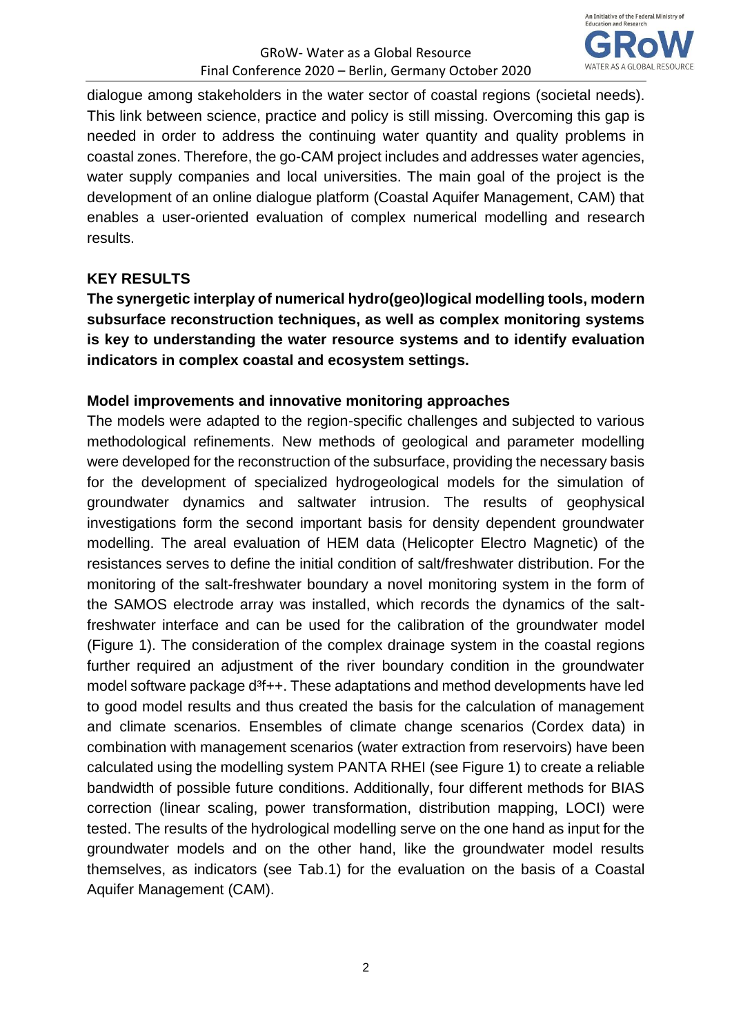

dialogue among stakeholders in the water sector of coastal regions (societal needs). This link between science, practice and policy is still missing. Overcoming this gap is needed in order to address the continuing water quantity and quality problems in coastal zones. Therefore, the go-CAM project includes and addresses water agencies, water supply companies and local universities. The main goal of the project is the development of an online dialogue platform (Coastal Aquifer Management, CAM) that enables a user-oriented evaluation of complex numerical modelling and research results.

### **KEY RESULTS**

**The synergetic interplay of numerical hydro(geo)logical modelling tools, modern subsurface reconstruction techniques, as well as complex monitoring systems is key to understanding the water resource systems and to identify evaluation indicators in complex coastal and ecosystem settings.** 

### **Model improvements and innovative monitoring approaches**

The models were adapted to the region-specific challenges and subjected to various methodological refinements. New methods of geological and parameter modelling were developed for the reconstruction of the subsurface, providing the necessary basis for the development of specialized hydrogeological models for the simulation of groundwater dynamics and saltwater intrusion. The results of geophysical investigations form the second important basis for density dependent groundwater modelling. The areal evaluation of HEM data (Helicopter Electro Magnetic) of the resistances serves to define the initial condition of salt/freshwater distribution. For the monitoring of the salt-freshwater boundary a novel monitoring system in the form of the SAMOS electrode array was installed, which records the dynamics of the saltfreshwater interface and can be used for the calibration of the groundwater model (Figure 1). The consideration of the complex drainage system in the coastal regions further required an adjustment of the river boundary condition in the groundwater model software package d<sup>3</sup>f++. These adaptations and method developments have led to good model results and thus created the basis for the calculation of management and climate scenarios. Ensembles of climate change scenarios (Cordex data) in combination with management scenarios (water extraction from reservoirs) have been calculated using the modelling system PANTA RHEI (see Figure 1) to create a reliable bandwidth of possible future conditions. Additionally, four different methods for BIAS correction (linear scaling, power transformation, distribution mapping, LOCI) were tested. The results of the hydrological modelling serve on the one hand as input for the groundwater models and on the other hand, like the groundwater model results themselves, as indicators (see Tab.1) for the evaluation on the basis of a Coastal Aquifer Management (CAM).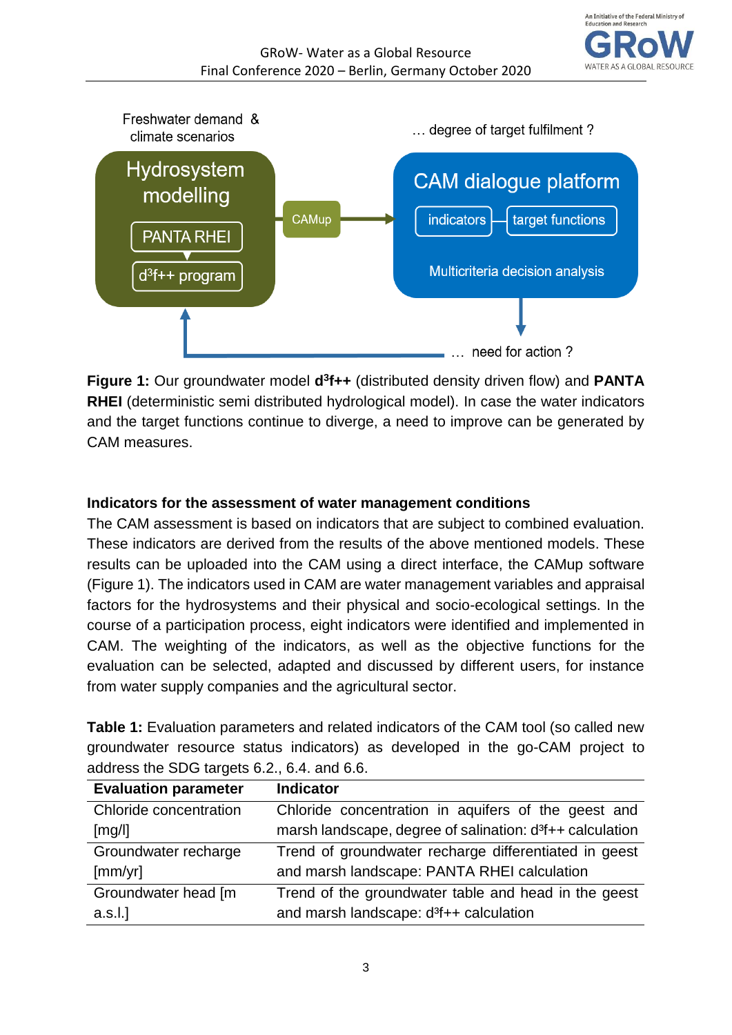



**Figure 1:** Our groundwater model  $d^3f++$  (distributed density driven flow) and **PANTA RHEI** (deterministic semi distributed hydrological model). In case the water indicators and the target functions continue to diverge, a need to improve can be generated by CAM measures.

## **Indicators for the assessment of water management conditions**

The CAM assessment is based on indicators that are subject to combined evaluation. These indicators are derived from the results of the above mentioned models. These results can be uploaded into the CAM using a direct interface, the CAMup software (Figure 1). The indicators used in CAM are water management variables and appraisal factors for the hydrosystems and their physical and socio-ecological settings. In the course of a participation process, eight indicators were identified and implemented in CAM. The weighting of the indicators, as well as the objective functions for the evaluation can be selected, adapted and discussed by different users, for instance from water supply companies and the agricultural sector.

**Table 1:** Evaluation parameters and related indicators of the CAM tool (so called new groundwater resource status indicators) as developed in the go-CAM project to address the SDG targets 6.2., 6.4. and 6.6.

| <b>Evaluation parameter</b> | <b>Indicator</b>                                                      |
|-----------------------------|-----------------------------------------------------------------------|
| Chloride concentration      | Chloride concentration in aquifers of the geest and                   |
| [mg/l]                      | marsh landscape, degree of salination: d <sup>3</sup> f++ calculation |
| Groundwater recharge        | Trend of groundwater recharge differentiated in geest                 |
| [mm/yr]                     | and marsh landscape: PANTA RHEI calculation                           |
| Groundwater head [m         | Trend of the groundwater table and head in the geest                  |
| a.s.l.                      | and marsh landscape: d <sup>3</sup> f++ calculation                   |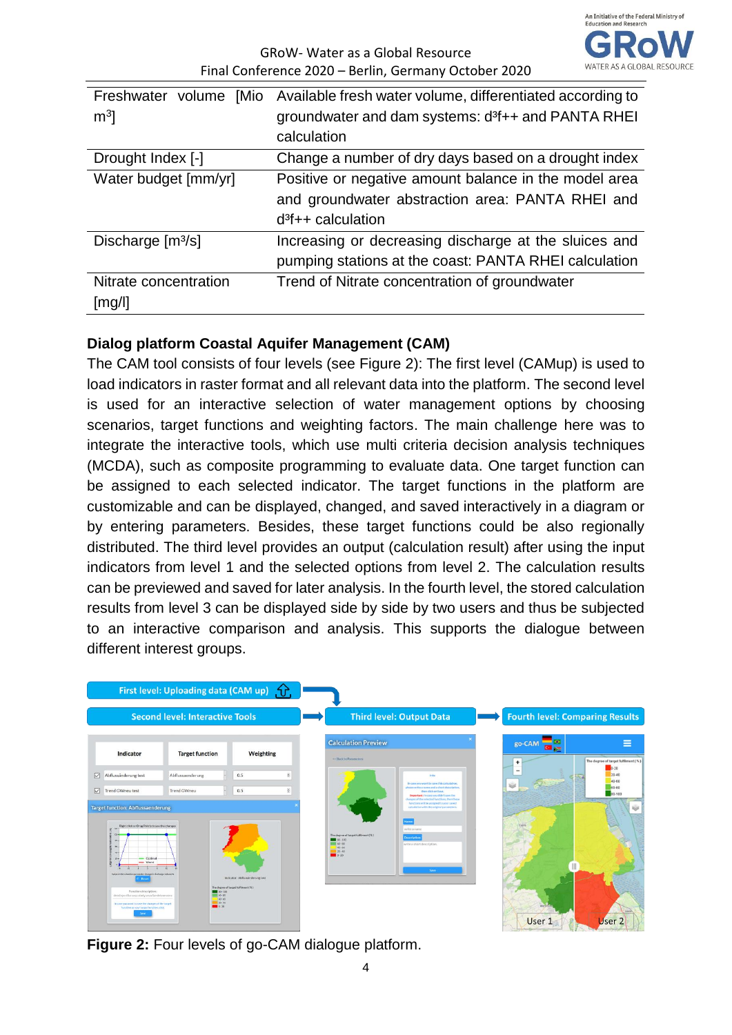

| Freshwater volume [Mio<br>m <sup>3</sup> | Available fresh water volume, differentiated according to<br>groundwater and dam systems: d <sup>3</sup> f++ and PANTA RHEI<br>calculation |
|------------------------------------------|--------------------------------------------------------------------------------------------------------------------------------------------|
| Drought Index [-]                        | Change a number of dry days based on a drought index                                                                                       |
| Water budget [mm/yr]                     | Positive or negative amount balance in the model area<br>and groundwater abstraction area: PANTA RHEI and<br>$d^3f++$ calculation          |
| Discharge $[m3/s]$                       | Increasing or decreasing discharge at the sluices and<br>pumping stations at the coast: PANTA RHEI calculation                             |
| Nitrate concentration<br>[mg/l]          | Trend of Nitrate concentration of groundwater                                                                                              |

### **Dialog platform Coastal Aquifer Management (CAM)**

The CAM tool consists of four levels (see Figure 2): The first level (CAMup) is used to load indicators in raster format and all relevant data into the platform. The second level is used for an interactive selection of water management options by choosing scenarios, target functions and weighting factors. The main challenge here was to integrate the interactive tools, which use multi criteria decision analysis techniques (MCDA), such as composite programming to evaluate data. One target function can be assigned to each selected indicator. The target functions in the platform are customizable and can be displayed, changed, and saved interactively in a diagram or by entering parameters. Besides, these target functions could be also regionally distributed. The third level provides an output (calculation result) after using the input indicators from level 1 and the selected options from level 2. The calculation results can be previewed and saved for later analysis. In the fourth level, the stored calculation results from level 3 can be displayed side by side by two users and thus be subjected to an interactive comparison and analysis. This supports the dialogue between different interest groups.



**Figure 2:** Four levels of go-CAM dialogue platform.